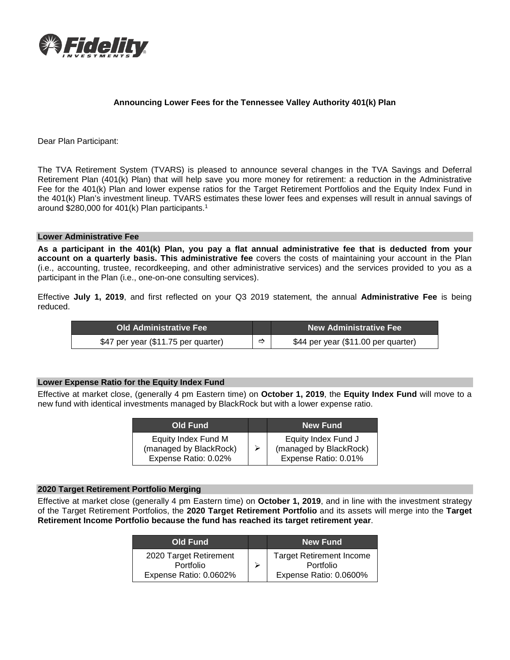

# **Announcing Lower Fees for the Tennessee Valley Authority 401(k) Plan**

Dear Plan Participant:

The TVA Retirement System (TVARS) is pleased to announce several changes in the TVA Savings and Deferral Retirement Plan (401(k) Plan) that will help save you more money for retirement: a reduction in the Administrative Fee for the 401(k) Plan and lower expense ratios for the Target Retirement Portfolios and the Equity Index Fund in the 401(k) Plan's investment lineup. TVARS estimates these lower fees and expenses will result in annual savings of around \$280,000 for 401(k) Plan participants. 1

#### **Lower Administrative Fee**

**As a participant in the 401(k) Plan, you pay a flat annual administrative fee that is deducted from your account on a quarterly basis. This administrative fee** covers the costs of maintaining your account in the Plan (i.e., accounting, trustee, recordkeeping, and other administrative services) and the services provided to you as a participant in the Plan (i.e., one-on-one consulting services).

Effective **July 1, 2019**, and first reflected on your Q3 2019 statement, the annual **Administrative Fee** is being reduced.

| ⊧Old Administrative Fee <sup>।</sup> |   | <b>New Administrative Fee</b>       |  |
|--------------------------------------|---|-------------------------------------|--|
| \$47 per year (\$11.75 per quarter)  | ⇨ | \$44 per year (\$11.00 per quarter) |  |

## **Lower Expense Ratio for the Equity Index Fund**

Effective at market close, (generally 4 pm Eastern time) on **October 1, 2019**, the **Equity Index Fund** will move to a new fund with identical investments managed by BlackRock but with a lower expense ratio.

| Old Fund                                                              |   | <b>New Fund</b>                                                       |
|-----------------------------------------------------------------------|---|-----------------------------------------------------------------------|
| Equity Index Fund M<br>(managed by BlackRock)<br>Expense Ratio: 0.02% | ⋗ | Equity Index Fund J<br>(managed by BlackRock)<br>Expense Ratio: 0.01% |

### **2020 Target Retirement Portfolio Merging**

Effective at market close (generally 4 pm Eastern time) on **October 1, 2019**, and in line with the investment strategy of the Target Retirement Portfolios, the **2020 Target Retirement Portfolio** and its assets will merge into the **Target Retirement Income Portfolio because the fund has reached its target retirement year**.

| Old Fund                                                      | <b>New Fund</b>                                                        |
|---------------------------------------------------------------|------------------------------------------------------------------------|
| 2020 Target Retirement<br>Portfolio<br>Expense Ratio: 0.0602% | <b>Target Retirement Income</b><br>Portfolio<br>Expense Ratio: 0.0600% |